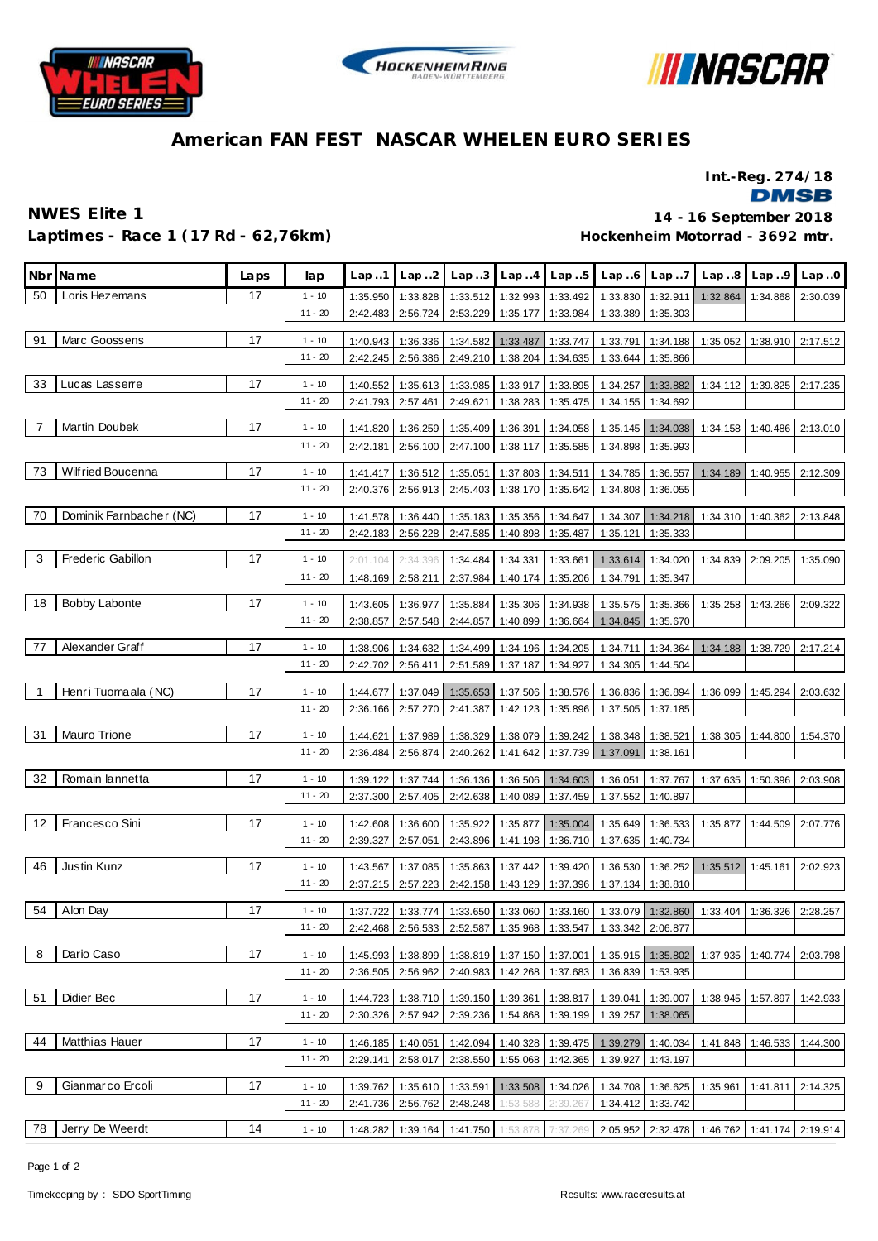





## **American FAN FEST NASCAR WHELEN EURO SERIES**

**Int.-Reg. 274/18**

**DMSB** 

## **NWES Elite 1 14 - 16 September 2018 Laptimes - Race 1 (17 Rd - 62,76km)**

**Hockenheim Motorrad - 3692 mtr.**

|    | Nbr Name                | Laps      | lap                   | Lap.1                | Lap.2                | Lap.3                                                          |                            | Lap.4 Lap.5          |                      | $Lap.6$ $Lap.7$      |                                              | $Lap.8$ $Lap.9$            | Lap.0    |
|----|-------------------------|-----------|-----------------------|----------------------|----------------------|----------------------------------------------------------------|----------------------------|----------------------|----------------------|----------------------|----------------------------------------------|----------------------------|----------|
| 50 | Loris Hezemans          | 17        | $1 - 10$              | 1:35.950             | 1:33.828             | 1:33.512                                                       | 1:32.993                   | 1:33.492             | 1:33.830             | 1:32.911             | 1:32.864                                     | 1:34.868                   | 2:30.039 |
|    |                         | $11 - 20$ | 2:42.483              | 2:56.724             | 2:53.229             | 1:35.177                                                       | 1:33.984                   | 1:33.389             | 1:35.303             |                      |                                              |                            |          |
| 91 | Marc Goossens           | 17        | $1 - 10$              | 1:40.943             | 1:36.336             | 1:34.582                                                       | 1:33.487                   | 1:33.747             | 1:33.791             | 1:34.188             | 1:35.052                                     | 1:38.910                   | 2:17.512 |
|    |                         |           | $11 - 20$             | 2:42.245             | 2:56.386             | 2:49.210                                                       | 1:38.204                   | 1:34.635             | 1:33.644             | 1:35.866             |                                              |                            |          |
|    |                         |           |                       |                      |                      |                                                                |                            |                      |                      |                      |                                              |                            |          |
| 33 | Lucas Lasserre          | 17        | $1 - 10$              | 1:40.552             | 1:35.613             | 1:33.985                                                       | 1:33.917                   | 1:33.895             | 1:34.257             | 1:33.882             |                                              | 1:34.112 1:39.825          | 2:17.235 |
|    |                         |           | $11 - 20$             | 2:41.793             | 2:57.461             | 2:49.621                                                       | 1:38.283                   | 1:35.475             | 1:34.155             | 1:34.692             |                                              |                            |          |
| 7  | Martin Doubek           | 17        | $1 - 10$              | 1:41.820             | 1:36.259             | 1:35.409                                                       | 1:36.391                   | 1:34.058             | 1:35.145             | 1:34.038             | 1:34.158                                     | 1:40.486                   | 2:13.010 |
|    |                         |           | $11 - 20$             | 2:42.181             | 2:56.100             |                                                                | 2:47.100 1:38.117          | 1:35.585             | 1:34.898             | 1:35.993             |                                              |                            |          |
| 73 | Wilf ried Boucenna      | 17        | $1 - 10$              |                      | 1:36.512             | 1:35.051                                                       | 1:37.803                   | 1:34.511             | 1:34.785             | 1:36.557             |                                              |                            |          |
|    |                         |           | $11 - 20$             | 1:41.417             | 2:40.376 2:56.913    | 2:45.403                                                       | $1:38.170$ 1:35.642        |                      | 1:34.808             | 1:36.055             |                                              | 1:34.189 1:40.955 2:12.309 |          |
|    |                         |           |                       |                      |                      |                                                                |                            |                      |                      |                      |                                              |                            |          |
| 70 | Dominik Farnbacher (NC) | 17        | $1 - 10$              | 1:41.578             | 1:36.440             |                                                                | 1:35.183 1:35.356          | 1:34.647             |                      | 1:34.307 1:34.218    | 1:34.310 1:40.362                            |                            | 2:13.848 |
|    |                         |           | $11 - 20$             | 2:42.183             | 2:56.228             | 2:47.585                                                       | 1:40.898                   | 1:35.487             | 1:35.121             | 1:35.333             |                                              |                            |          |
| 3  | Frederic Gabillon       | 17        | $1 - 10$              | 2:01.104             | 2:34.396             | 1:34.484                                                       | 1:34.331                   | 1:33.661             | 1:33.614             | 1:34.020             | 1:34.839                                     | 2:09.205                   | 1:35.090 |
|    |                         |           | $11 - 20$             | 1:48.169             | 2:58.211             | 2:37.984                                                       | 1:40.174                   | 1:35.206             | 1:34.791             | 1:35.347             |                                              |                            |          |
|    |                         | 17        |                       |                      |                      |                                                                |                            |                      |                      |                      |                                              |                            |          |
| 18 | <b>Bobby Labonte</b>    |           | $1 - 10$<br>$11 - 20$ | 1:43.605<br>2:38.857 | 1:36.977<br>2:57.548 | 1:35.884<br>2:44.857                                           | 1:35.306<br>1:40.899       | 1:34.938<br>1:36.664 | 1:35.575<br>1:34.845 | 1:35.366             | 1:35.258                                     | 1:43.266                   | 2:09.322 |
|    |                         |           |                       |                      |                      |                                                                |                            |                      |                      | 1:35.670             |                                              |                            |          |
| 77 | Alexander Graff         | 17        | $1 - 10$              | 1:38.906             | 1:34.632             | 1:34.499                                                       | 1:34.196                   | 1:34.205             | 1:34.711             |                      | 1:34.364 1:34.188                            | 1:38.729                   | 2:17.214 |
|    |                         |           | $11 - 20$             | 2:42.702             | 2:56.411             | 2:51.589                                                       | 1:37.187                   | 1:34.927             | 1:34.305             | 1:44.504             |                                              |                            |          |
| -1 | Henri Tuomaala (NC)     | 17        | $1 - 10$              | 1:44.677             | 1:37.049             | 1:35.653                                                       | 1:37.506                   | 1:38.576             |                      | 1:36.836 1:36.894    | 1:36.099                                     | 1:45.294                   | 2:03.632 |
|    |                         |           | $11 - 20$             | 2:36.166             | 2:57.270             | 2:41.387                                                       | 1:42.123                   | 1:35.896             | 1:37.505             | 1:37.185             |                                              |                            |          |
|    |                         |           |                       |                      |                      |                                                                |                            |                      |                      |                      |                                              |                            |          |
| 31 | Mauro Trione            | 17        | $1 - 10$              | 1:44.621             | 1:37.989             | 1:38.329                                                       | 1:38.079                   | 1:39.242             | 1:38.348             | 1:38.521             |                                              | 1:38.305 1:44.800          | 1:54.370 |
|    |                         |           | $11 - 20$             | 2:36.484             | 2:56.874             | 2:40.262                                                       | 1:41.642                   | 1:37.739             | 1:37.091             | 1:38.161             |                                              |                            |          |
| 32 | Romain lannetta         | 17        | $1 - 10$              | 1:39.122             | 1:37.744             | 1:36.136                                                       | 1:36.506                   | 1:34.603             | 1:36.051             | 1:37.767             | 1:37.635                                     | 1:50.396                   | 2:03.908 |
|    |                         |           | $11 - 20$             | 2:37.300             | 2:57.405             | 2:42.638                                                       | 1:40.089                   | 1:37.459             | 1:37.552             | 1:40.897             |                                              |                            |          |
| 12 | Francesco Sini          | 17        | $1 - 10$              | 1:42.608             | 1:36.600             | 1:35.922                                                       | 1:35.877                   | 1:35.004             | 1:35.649             | 1:36.533             | 1:35.877                                     | 1:44.509                   | 2:07.776 |
|    |                         |           | $11 - 20$             | 2:39.327             | 2:57.051             | 2:43.896                                                       | 1:41.198                   | 1:36.710             | 1:37.635             | 1:40.734             |                                              |                            |          |
|    |                         |           |                       |                      |                      |                                                                |                            |                      |                      |                      |                                              |                            |          |
| 46 | Justin Kunz             | 17        | $1 - 10$              | 1:43.567             | 1:37.085             | 1:35.863                                                       | 1:37.442                   | 1:39.420             | 1:36.530             | 1:36.252             | 1:35.512                                     | 1:45.161                   | 2:02.923 |
|    |                         |           | $11 - 20$             | 2:37.215             | 2:57.223             | 2:42.158                                                       | 1:43.129                   | 1:37.396             | 1:37.134             | 1:38.810             |                                              |                            |          |
| 54 | Alon Day                | 17        | $1 - 10$              | 1:37.722             | 1:33.774             |                                                                | 1:33.650 1:33.060 1:33.160 |                      |                      | 1:33.079 1:32.860    |                                              | 1:33.404 1:36.326          | 2:28.257 |
|    |                         |           | $11 - 20$             |                      |                      | 2:42.468 2:56.533 2:52.587 1:35.968 1:33.547 1:33.342 2:06.877 |                            |                      |                      |                      |                                              |                            |          |
| 8  | Dario Caso              | 17        | $1 - 10$              | 1:45.993             | 1:38.899             |                                                                | 1:38.819 1:37.150 1:37.001 |                      | 1:35.915             | 1:35.802             | 1:37.935                                     | 1:40.774                   | 2:03.798 |
|    |                         |           | $11 - 20$             | 2:36.505             | 2:56.962             | 2:40.983                                                       | 1:42.268                   | 1:37.683             | 1:36.839             | 1:53.935             |                                              |                            |          |
|    |                         |           |                       |                      |                      |                                                                |                            |                      |                      |                      |                                              |                            |          |
| 51 | Didier Bec              | 17        | $1 - 10$              | 1:44.723             | 1:38.710             | 1:39.150 1:39.361                                              |                            | 1:38.817             | 1:39.041             | 1:39.007             | 1:38.945                                     | 1:57.897                   | 1:42.933 |
|    |                         |           | $11 - 20$             | 2:30.326             | 2:57.942             | 2:39.236                                                       | 1:54.868                   | 1:39.199             | 1:39.257             | 1:38.065             |                                              |                            |          |
| 44 | <b>Matthias Hauer</b>   | 17        | $1 - 10$              | 1:46.185             | 1:40.051             | 1:42.094                                                       | 1:40.328                   | 1:39.475             | 1:39.279             | 1:40.034             | 1:41.848                                     | 1:46.533                   | 1:44.300 |
|    |                         |           | $11 - 20$             | 2:29.141             | 2:58.017             | 2:38.550                                                       | 1:55.068                   | 1:42.365             | 1:39.927             | 1:43.197             |                                              |                            |          |
| 9  | Gianmarco Ercoli        | 17        | $1 - 10$              |                      |                      |                                                                |                            | 1:34.026             |                      |                      |                                              |                            |          |
|    |                         |           | 11 - 20               | 1:39.762<br>2:41.736 | 1:35.610<br>2:56.762 | 1:33.591<br>2:48.248                                           | 1:33.508<br>1:53.588       | 2:39.267             | 1:34.708<br>1:34.412 | 1:36.625<br>1:33.742 | 1:35.961                                     | 1:41.811                   | 2:14.325 |
|    |                         |           |                       |                      |                      |                                                                |                            |                      |                      |                      |                                              |                            |          |
| 78 | Jerry De Weerdt         | 14        | $1 - 10$              | 1:48.282             | 1:39.164             | 1:41.750                                                       | 1:53.878                   | 7:37.269             |                      |                      | 2:05.952 2:32.478 1:46.762 1:41.174 2:19.914 |                            |          |

Page 1 of 2